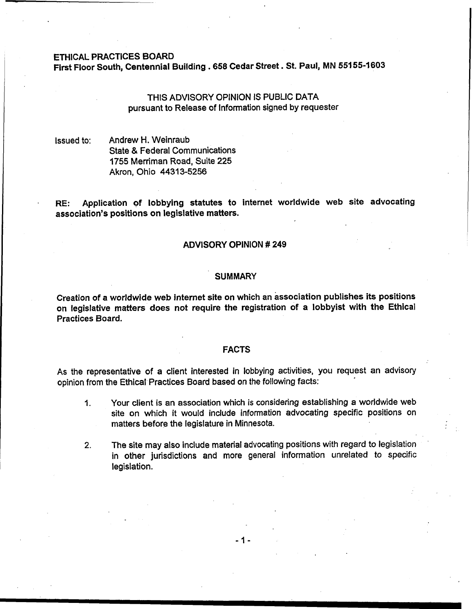## ETHICAL PRACTICES BOARD

First Floor South, Centennial Building **.658** Cedar Street . St. Paul, MN 551 **55-1 603** 

# THIS ADVISORY OPINION IS PUBLIC DATA pursuant to Release of Information signed by requester

Issued to: Andrew H. Weinraub State & Federal Communications 1755 Merriman Road, Suite 225 Akron, Ohio 44313-5256

**RE:** Application **of** lobbying statutes to internet worldwide web site advocating association's positions on legislative matters.

## ADVISORY OPINION # 249

#### **SUMMARY**

Creation of a worldwide **web** internet site on which an association publishes its positions on legislative matters does not require the registration of a lobbyist with the Ethical Practices Board.

#### FACTS

As the representative of a client interested in lobbying activities, you request an advisory opinion from the Ethical Practices Board based on the following facts:

- **1.** Your client is an association which is considering establishing a worldwide web site on which it would include information advocating specific positions on matters before the legislature in Minnesota.
- 2. The site may also include material advocating positions with regard to legislation in other jurisdictions and more general information unrelated to specific legislation.

 $-1-$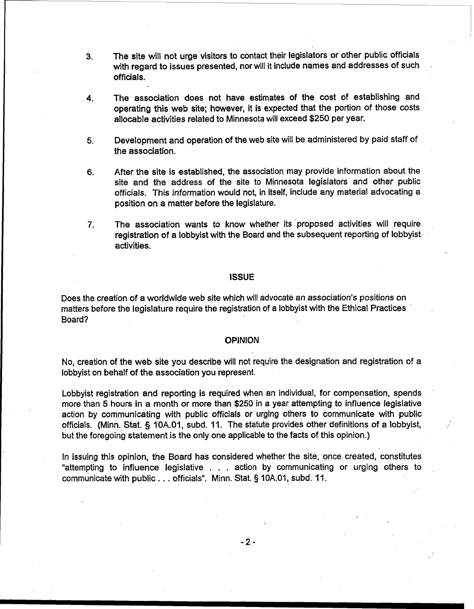- **3.** The site will not urge visitors to contact their legislators or other public officials with regard to issues presented, nor will it include names and addresses of such officials.
- **4.** The association does not have estimates of the cost of establishing and operating this web site; however, it is expected that the portion of those costs allocable activities related to Minnesota will exceed \$250 per year.
- **5.** Development and operation of the web site will be administered by paid staff of the association.
- **6.** After the site is established, the association may provide information about the site and the address of the site to Minnesota legislators and other public officials. This information would not, in itself, include any material advocating a position on a matter before the legislature.
- **7.** The association wants to know whether its 'proposed activities will require registration of a lobbyist with the Board and the subsequent reporting of lobbyist activities.

## **ISSUE**

Does the creation of a worldwide web site which will advocate an association's positions on matters before the legislature require the registration of a lobbyist with the Ethical Practices Board?

OPINION No, creation of the web site you describe will not require the designation and registration of a lobbyist on behalf of the association you represent.

> Lobbyist registration and reporting is required when an individual, for compensation, spends more than 5 hours in **a** month or more than \$250 in a year attempting to influence legislative action by communicating with public officials or urging others to communicate with public officials. (Minn. Stat. § **10A.01,** subd. **11.** The statute provides other definitions of a lobbyist, but the foregoing statement is the only one applicable to the facts of this opinion.)

> In issuing this opinion, the Board has considered whether the site, once created, constitutes "attempting to influence legislative . . . action by communicating or urging others to , communicate with public . . . officials". Minn. Stat. § 10A.01, subd. 11.